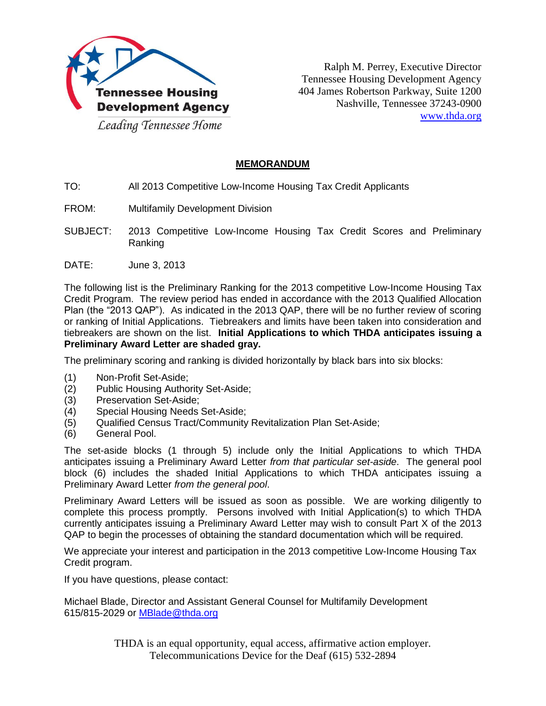

Ralph M. Perrey, Executive Director Tennessee Housing Development Agency 404 James Robertson Parkway, Suite 1200 Nashville, Tennessee 37243-0900 www.thda.org

## **MEMORANDUM**

- TO: All 2013 Competitive Low-Income Housing Tax Credit Applicants
- FROM: Multifamily Development Division
- SUBJECT: 2013 Competitive Low-Income Housing Tax Credit Scores and Preliminary Ranking
- DATE: June 3, 2013

The following list is the Preliminary Ranking for the 2013 competitive Low-Income Housing Tax Credit Program. The review period has ended in accordance with the 2013 Qualified Allocation Plan (the "2013 QAP"). As indicated in the 2013 QAP, there will be no further review of scoring or ranking of Initial Applications. Tiebreakers and limits have been taken into consideration and tiebreakers are shown on the list. **Initial Applications to which THDA anticipates issuing a Preliminary Award Letter are shaded gray.**

The preliminary scoring and ranking is divided horizontally by black bars into six blocks:

- (1) Non-Profit Set-Aside;
- (2) Public Housing Authority Set-Aside;<br>(3) Preservation Set-Aside:
- Preservation Set-Aside;
- (4) Special Housing Needs Set-Aside;
- (5) Qualified Census Tract/Community Revitalization Plan Set-Aside;
- (6) General Pool.

The set-aside blocks (1 through 5) include only the Initial Applications to which THDA anticipates issuing a Preliminary Award Letter *from that particular set-aside*. The general pool block (6) includes the shaded Initial Applications to which THDA anticipates issuing a Preliminary Award Letter *from the general pool*.

Preliminary Award Letters will be issued as soon as possible. We are working diligently to complete this process promptly. Persons involved with Initial Application(s) to which THDA currently anticipates issuing a Preliminary Award Letter may wish to consult Part X of the 2013 QAP to begin the processes of obtaining the standard documentation which will be required.

We appreciate your interest and participation in the 2013 competitive Low-Income Housing Tax Credit program.

If you have questions, please contact:

Michael Blade, Director and Assistant General Counsel for Multifamily Development 615/815-2029 or [MBlade@thda.org](mailto:MBlade@thda.org)

> THDA is an equal opportunity, equal access, affirmative action employer. Telecommunications Device for the Deaf (615) 532-2894